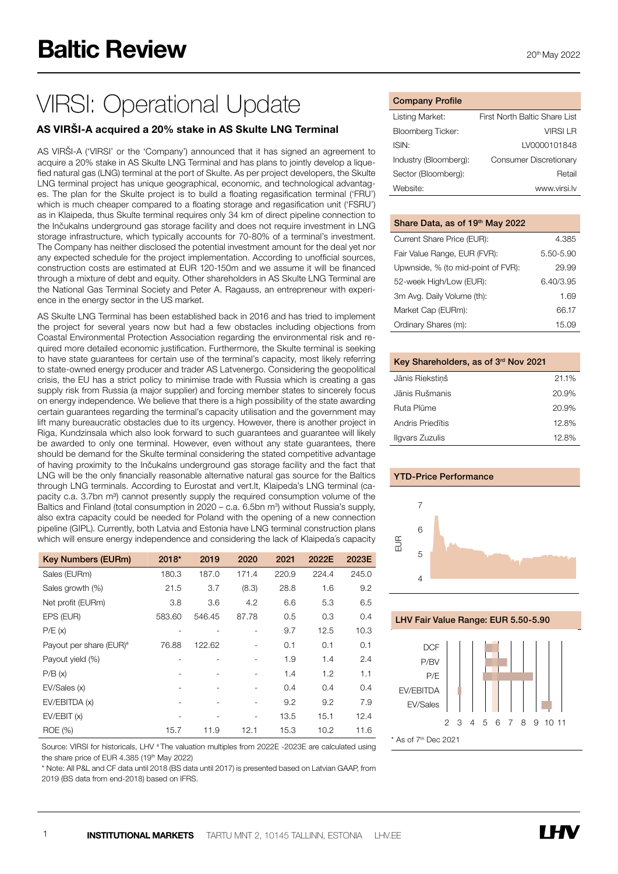# VIRSI: Operational Update

# AS VIRŠI-A acquired a 20% stake in AS Skulte LNG Terminal

AS VIRŠI-A ('VIRSI' or the 'Company') announced that it has signed an agreement to acquire a 20% stake in AS Skulte LNG Terminal and has plans to jointly develop a liquefied natural gas (LNG) terminal at the port of Skulte. As per project developers, the Skulte LNG terminal project has unique geographical, economic, and technological advantages. The plan for the Skulte project is to build a floating regasification terminal ('FRU') which is much cheaper compared to a floating storage and regasification unit ('FSRU') as in Klaipeda, thus Skulte terminal requires only 34 km of direct pipeline connection to the Inčukalns underground gas storage facility and does not require investment in LNG storage infrastructure, which typically accounts for 70-80% of a terminal's investment. The Company has neither disclosed the potential investment amount for the deal yet nor any expected schedule for the project implementation. According to unofficial sources, construction costs are estimated at EUR 120-150m and we assume it will be financed through a mixture of debt and equity. Other shareholders in AS Skulte LNG Terminal are the National Gas Terminal Society and Peter A. Ragauss, an entrepreneur with experience in the energy sector in the US market.

AS Skulte LNG Terminal has been established back in 2016 and has tried to implement the project for several years now but had a few obstacles including objections from Coastal Environmental Protection Association regarding the environmental risk and required more detailed economic justification. Furthermore, the Skulte terminal is seeking to have state guarantees for certain use of the terminal's capacity, most likely referring to state-owned energy producer and trader AS Latvenergo. Considering the geopolitical crisis, the EU has a strict policy to minimise trade with Russia which is creating a gas supply risk from Russia (a major supplier) and forcing member states to sincerely focus on energy independence. We believe that there is a high possibility of the state awarding certain guarantees regarding the terminal's capacity utilisation and the government may lift many bureaucratic obstacles due to its urgency. However, there is another project in Riga, Kundzinsala which also look forward to such guarantees and guarantee will likely be awarded to only one terminal. However, even without any state guarantees, there should be demand for the Skulte terminal considering the stated competitive advantage of having proximity to the Inčukalns underground gas storage facility and the fact that LNG will be the only financially reasonable alternative natural gas source for the Baltics through LNG terminals. According to Eurostat and vert.lt, Klaipeda's LNG terminal (capacity c.a. 3.7bn m<sup>3</sup>) cannot presently supply the required consumption volume of the Baltics and Finland (total consumption in 2020 – c.a. 6.5bn m<sup>3</sup>) without Russia's supply, also extra capacity could be needed for Poland with the opening of a new connection pipeline (GIPL). Currently, both Latvia and Estonia have LNG terminal construction plans which will ensure energy independence and considering the lack of Klaipeda´s capacity

| <b>Key Numbers (EURm)</b>           | 2018*  | 2019   | 2020                     | 2021  | 2022E | 2023E |
|-------------------------------------|--------|--------|--------------------------|-------|-------|-------|
| Sales (EURm)                        | 180.3  | 187.0  | 171.4                    | 220.9 | 224.4 | 245.0 |
| Sales growth (%)                    | 21.5   | 3.7    | (8.3)                    | 28.8  | 1.6   | 9.2   |
| Net profit (EURm)                   | 3.8    | 3.6    | 4.2                      | 6.6   | 5.3   | 6.5   |
| EPS (EUR)                           | 583.60 | 546.45 | 87.78                    | 0.5   | 0.3   | 0.4   |
| P/E(x)                              |        |        |                          | 9.7   | 12.5  | 10.3  |
| Payout per share (EUR) <sup>#</sup> | 76.88  | 122.62 | $\overline{\phantom{0}}$ | 0.1   | 0.1   | 0.1   |
| Payout yield (%)                    |        |        |                          | 1.9   | 1.4   | 2.4   |
| P/B(x)                              |        |        |                          | 1.4   | 1.2   | 1.1   |
| EV/Sales (x)                        |        |        |                          | 0.4   | 0.4   | 0.4   |
| EV/EBITDA (x)                       |        |        |                          | 9.2   | 9.2   | 7.9   |
| EV/EBIT(x)                          | ۰      |        | $\overline{\phantom{a}}$ | 13.5  | 15.1  | 12.4  |
| ROE (%)                             | 15.7   | 11.9   | 12.1                     | 15.3  | 10.2  | 11.6  |

Source: VIRSI for historicals, LHV # The valuation multiples from 2022E -2023E are calculated using the share price of EUR 4.385 (19th May 2022)

\* Note: All P&L and CF data until 2018 (BS data until 2017) is presented based on Latvian GAAP, from

2019 (BS data from end-2018) based on IFRS.

### Company Profile

| Listing Market:       | First North Baltic Share List |
|-----------------------|-------------------------------|
| Bloomberg Ticker:     | <b>VIRSILR</b>                |
| ISIN:                 | LV0000101848                  |
| Industry (Bloomberg): | Consumer Discretionary        |
| Sector (Bloomberg):   | Retail                        |
| Website:              | www.virsi.lv                  |

| Share Data, as of 19th May 2022    |           |
|------------------------------------|-----------|
| Current Share Price (EUR):         | 4.385     |
| Fair Value Range, EUR (FVR):       | 5.50-5.90 |
| Upwnside, % (to mid-point of FVR): | 29.99     |
| 52-week High/Low (EUR):            | 6.40/3.95 |
| 3m Avg. Daily Volume (th):         | 1.69      |
| Market Cap (EURm):                 | 66.17     |
| Ordinary Shares (m):               | 15.09     |

# Key Shareholders, as of 3rd Nov 2021 Jānis Riekstiņš 21.1% Jānis Rušmanis 20.9% Ruta Plūme 20.9% Andris Priedītis 12.8% Ilgvars Zuzulis 12.8%

## YTD-Price Performance



#### LHV Fair Value Range: EUR 5.50-5.90

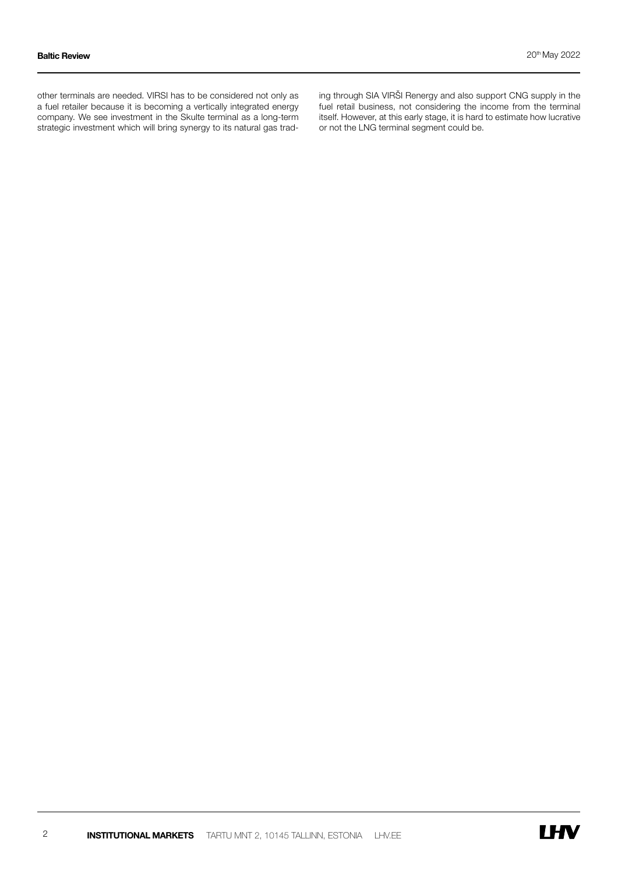2

other terminals are needed. VIRSI has to be considered not only as a fuel retailer because it is becoming a vertically integrated energy company. We see investment in the Skulte terminal as a long-term strategic investment which will bring synergy to its natural gas trad-

ing through SIA VIRŠI Renergy and also support CNG supply in the fuel retail business, not considering the income from the terminal itself. However, at this early stage, it is hard to estimate how lucrative or not the LNG terminal segment could be.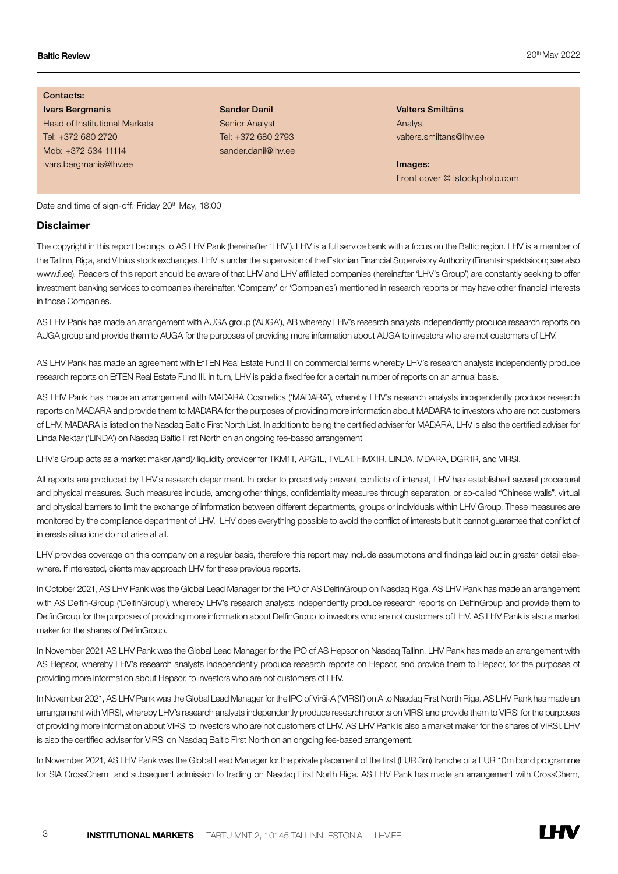Contacts:

Ivars Bergmanis Head of Institutional Markets Tel: +372 680 2720 Mob: +372 534 11114 ivars.bergmanis@lhv.ee

Sander Danil Senior Analyst Tel: +372 680 2793 sander.danil@lhv.ee Valters Smiltāns Analyst valters.smiltans@lhv.ee

Images: Front cover © istockphoto.com

Date and time of sign-off: Friday 20<sup>th</sup> May, 18:00

#### **Disclaimer**

3

The copyright in this report belongs to AS LHV Pank (hereinafter 'LHV'). LHV is a full service bank with a focus on the Baltic region. LHV is a member of the Tallinn, Riga, and Vilnius stock exchanges. LHV is under the supervision of the Estonian Financial Supervisory Authority (Finantsinspektsioon; see also www.fi.ee). Readers of this report should be aware of that LHV and LHV affiliated companies (hereinafter 'LHV's Group') are constantly seeking to offer investment banking services to companies (hereinafter, 'Company' or 'Companies') mentioned in research reports or may have other financial interests in those Companies.

AS LHV Pank has made an arrangement with AUGA group ('AUGA'), AB whereby LHV's research analysts independently produce research reports on AUGA group and provide them to AUGA for the purposes of providing more information about AUGA to investors who are not customers of LHV.

AS LHV Pank has made an agreement with EfTEN Real Estate Fund III on commercial terms whereby LHV's research analysts independently produce research reports on EfTEN Real Estate Fund III. In turn, LHV is paid a fixed fee for a certain number of reports on an annual basis.

AS LHV Pank has made an arrangement with MADARA Cosmetics ('MADARA'), whereby LHV's research analysts independently produce research reports on MADARA and provide them to MADARA for the purposes of providing more information about MADARA to investors who are not customers of LHV. MADARA is listed on the Nasdaq Baltic First North List. In addition to being the certified adviser for MADARA, LHV is also the certified adviser for Linda Nektar ('LINDA') on Nasdaq Baltic First North on an ongoing fee-based arrangement

LHV's Group acts as a market maker /(and)/ liquidity provider for TKM1T, APG1L, TVEAT, HMX1R, LINDA, MDARA, DGR1R, and VIRSI.

All reports are produced by LHV's research department. In order to proactively prevent conflicts of interest, LHV has established several procedural and physical measures. Such measures include, among other things, confidentiality measures through separation, or so-called "Chinese walls", virtual and physical barriers to limit the exchange of information between different departments, groups or individuals within LHV Group. These measures are monitored by the compliance department of LHV. LHV does everything possible to avoid the conflict of interests but it cannot guarantee that conflict of interests situations do not arise at all.

LHV provides coverage on this company on a regular basis, therefore this report may include assumptions and findings laid out in greater detail elsewhere. If interested, clients may approach LHV for these previous reports.

In October 2021, AS LHV Pank was the Global Lead Manager for the IPO of AS DelfinGroup on Nasdaq Riga. AS LHV Pank has made an arrangement with AS Delfin-Group ('DelfinGroup'), whereby LHV's research analysts independently produce research reports on DelfinGroup and provide them to DelfinGroup for the purposes of providing more information about DelfinGroup to investors who are not customers of LHV. AS LHV Pank is also a market maker for the shares of DelfinGroup.

In November 2021 AS LHV Pank was the Global Lead Manager for the IPO of AS Hepsor on Nasdaq Tallinn. LHV Pank has made an arrangement with AS Hepsor, whereby LHV's research analysts independently produce research reports on Hepsor, and provide them to Hepsor, for the purposes of providing more information about Hepsor, to investors who are not customers of LHV.

In November 2021, AS LHV Pank was the Global Lead Manager for the IPO of Virši-A ('VIRSI') on A to Nasdaq First North Riga. AS LHV Pank has made an arrangement with VIRSI, whereby LHV's research analysts independently produce research reports on VIRSI and provide them to VIRSI for the purposes of providing more information about VIRSI to investors who are not customers of LHV. AS LHV Pank is also a market maker for the shares of VIRSI. LHV is also the certified adviser for VIRSI on Nasdaq Baltic First North on an ongoing fee-based arrangement.

In November 2021, AS LHV Pank was the Global Lead Manager for the private placement of the first (EUR 3m) tranche of a EUR 10m bond programme for SIA CrossChem and subsequent admission to trading on Nasdaq First North Riga. AS LHV Pank has made an arrangement with CrossChem,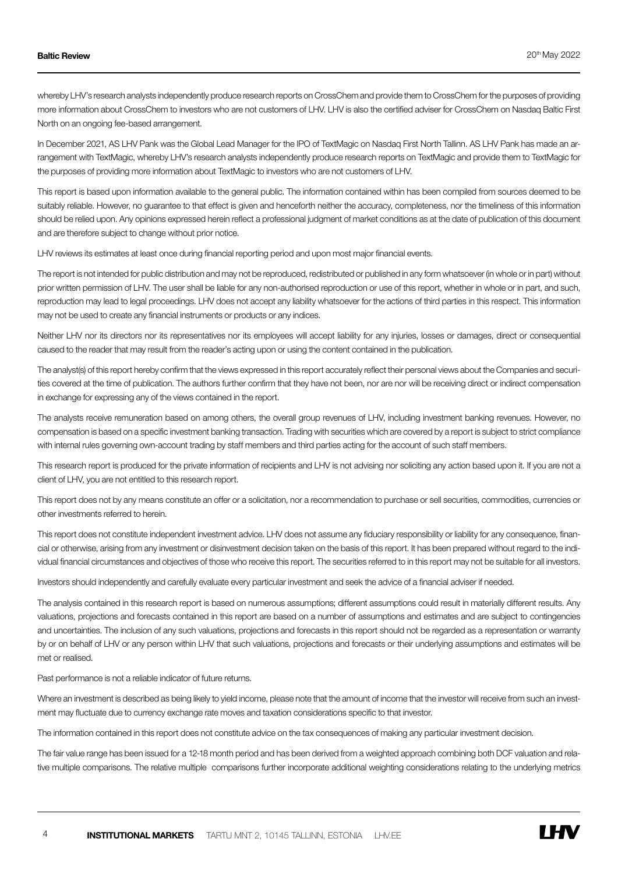#### Baltic Review

whereby LHV's research analysts independently produce research reports on CrossChem and provide them to CrossChem for the purposes of providing more information about CrossChem to investors who are not customers of LHV. LHV is also the certified adviser for CrossChem on Nasdaq Baltic First North on an ongoing fee-based arrangement.

In December 2021, AS LHV Pank was the Global Lead Manager for the IPO of TextMagic on Nasdaq First North Tallinn. AS LHV Pank has made an arrangement with TextMagic, whereby LHV's research analysts independently produce research reports on TextMagic and provide them to TextMagic for the purposes of providing more information about TextMagic to investors who are not customers of LHV.

This report is based upon information available to the general public. The information contained within has been compiled from sources deemed to be suitably reliable. However, no guarantee to that effect is given and henceforth neither the accuracy, completeness, nor the timeliness of this information should be relied upon. Any opinions expressed herein reflect a professional judgment of market conditions as at the date of publication of this document and are therefore subject to change without prior notice.

LHV reviews its estimates at least once during financial reporting period and upon most major financial events.

The report is not intended for public distribution and may not be reproduced, redistributed or published in any form whatsoever (in whole or in part) without prior written permission of LHV. The user shall be liable for any non-authorised reproduction or use of this report, whether in whole or in part, and such, reproduction may lead to legal proceedings. LHV does not accept any liability whatsoever for the actions of third parties in this respect. This information may not be used to create any financial instruments or products or any indices.

Neither LHV nor its directors nor its representatives nor its employees will accept liability for any injuries, losses or damages, direct or consequential caused to the reader that may result from the reader's acting upon or using the content contained in the publication.

The analyst(s) of this report hereby confirm that the views expressed in this report accurately reflect their personal views about the Companies and securities covered at the time of publication. The authors further confirm that they have not been, nor are nor will be receiving direct or indirect compensation in exchange for expressing any of the views contained in the report.

The analysts receive remuneration based on among others, the overall group revenues of LHV, including investment banking revenues. However, no compensation is based on a specific investment banking transaction. Trading with securities which are covered by a report is subject to strict compliance with internal rules governing own-account trading by staff members and third parties acting for the account of such staff members.

This research report is produced for the private information of recipients and LHV is not advising nor soliciting any action based upon it. If you are not a client of LHV, you are not entitled to this research report.

This report does not by any means constitute an offer or a solicitation, nor a recommendation to purchase or sell securities, commodities, currencies or other investments referred to herein.

This report does not constitute independent investment advice. LHV does not assume any fiduciary responsibility or liability for any consequence, financial or otherwise, arising from any investment or disinvestment decision taken on the basis of this report. It has been prepared without regard to the individual financial circumstances and objectives of those who receive this report. The securities referred to in this report may not be suitable for all investors.

Investors should independently and carefully evaluate every particular investment and seek the advice of a financial adviser if needed.

The analysis contained in this research report is based on numerous assumptions; different assumptions could result in materially different results. Any valuations, projections and forecasts contained in this report are based on a number of assumptions and estimates and are subject to contingencies and uncertainties. The inclusion of any such valuations, projections and forecasts in this report should not be regarded as a representation or warranty by or on behalf of LHV or any person within LHV that such valuations, projections and forecasts or their underlying assumptions and estimates will be met or realised.

Past performance is not a reliable indicator of future returns.

 $\Delta$ 

Where an investment is described as being likely to yield income, please note that the amount of income that the investor will receive from such an investment may fluctuate due to currency exchange rate moves and taxation considerations specific to that investor.

The information contained in this report does not constitute advice on the tax consequences of making any particular investment decision.

The fair value range has been issued for a 12-18 month period and has been derived from a weighted approach combining both DCF valuation and relative multiple comparisons. The relative multiple comparisons further incorporate additional weighting considerations relating to the underlying metrics